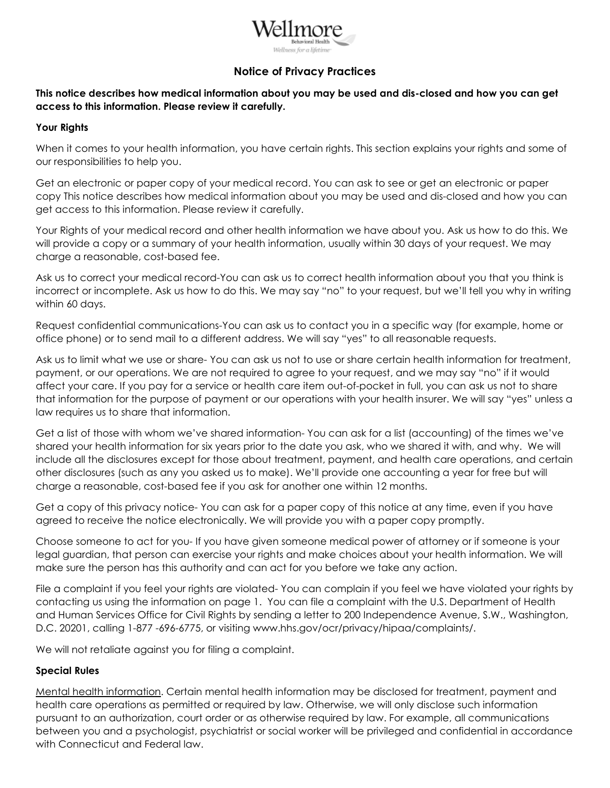

# **Notice of Privacy Practices**

## **This notice describes how medical information about you may be used and dis-closed and how you can get access to this information. Please review it carefully.**

### **Your Rights**

When it comes to your health information, you have certain rights. This section explains your rights and some of our responsibilities to help you.

Get an electronic or paper copy of your medical record. You can ask to see or get an electronic or paper copy This notice describes how medical information about you may be used and dis-closed and how you can get access to this information. Please review it carefully.

Your Rights of your medical record and other health information we have about you. Ask us how to do this. We will provide a copy or a summary of your health information, usually within 30 days of your request. We may charge a reasonable, cost-based fee.

Ask us to correct your medical record-You can ask us to correct health information about you that you think is incorrect or incomplete. Ask us how to do this. We may say "no" to your request, but we'll tell you why in writing within 60 days.

Request confidential communications-You can ask us to contact you in a specific way (for example, home or office phone) or to send mail to a different address. We will say "yes" to all reasonable requests.

Ask us to limit what we use or share- You can ask us not to use or share certain health information for treatment, payment, or our operations. We are not required to agree to your request, and we may say "no" if it would affect your care. If you pay for a service or health care item out-of-pocket in full, you can ask us not to share that information for the purpose of payment or our operations with your health insurer. We will say "yes" unless a law requires us to share that information.

Get a list of those with whom we've shared information- You can ask for a list (accounting) of the times we've shared your health information for six years prior to the date you ask, who we shared it with, and why. We will include all the disclosures except for those about treatment, payment, and health care operations, and certain other disclosures (such as any you asked us to make). We'll provide one accounting a year for free but will charge a reasonable, cost-based fee if you ask for another one within 12 months.

Get a copy of this privacy notice- You can ask for a paper copy of this notice at any time, even if you have agreed to receive the notice electronically. We will provide you with a paper copy promptly.

Choose someone to act for you- If you have given someone medical power of attorney or if someone is your legal guardian, that person can exercise your rights and make choices about your health information. We will make sure the person has this authority and can act for you before we take any action.

File a complaint if you feel your rights are violated- You can complain if you feel we have violated your rights by contacting us using the information on page 1. You can file a complaint with the U.S. Department of Health and Human Services Office for Civil Rights by sending a letter to 200 Independence Avenue, S.W., Washington, D.C. 20201, calling 1-877 -696-6775, or visiting www.hhs.gov/ocr/privacy/hipaa/complaints/.

We will not retaliate against you for filing a complaint.

## **Special Rules**

Mental health information. Certain mental health information may be disclosed for treatment, payment and health care operations as permitted or required by law. Otherwise, we will only disclose such information pursuant to an authorization, court order or as otherwise required by law. For example, all communications between you and a psychologist, psychiatrist or social worker will be privileged and confidential in accordance with Connecticut and Federal law.